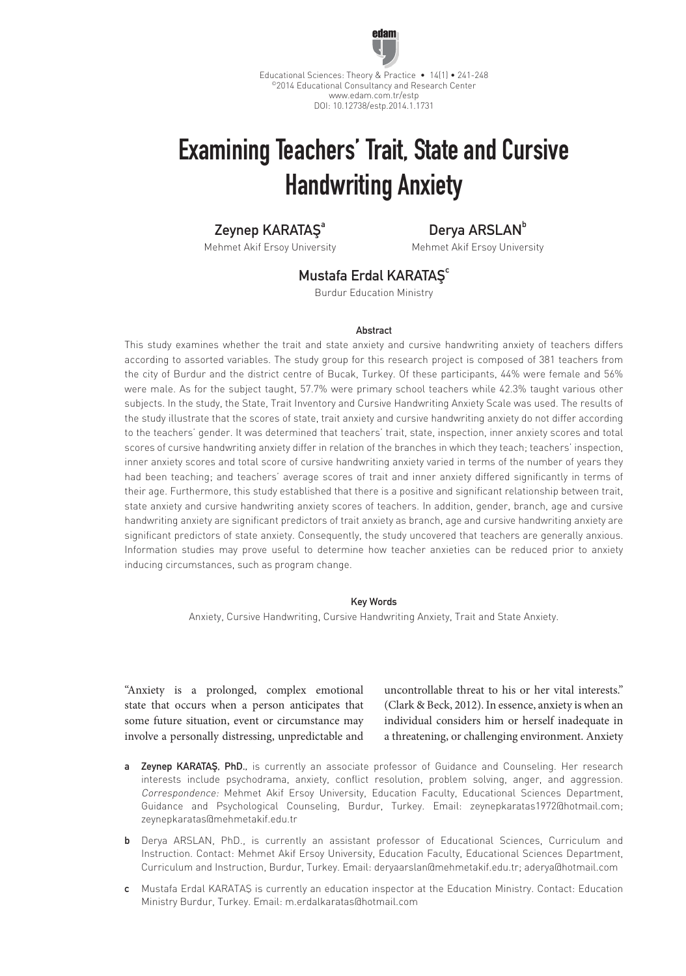

Educational Sciences: Theory & Practice • 14(1) • 241-248 ©2014 Educational Consultancy and Research Center www.edam.com.tr/estp DOI: 10.12738/estp.2014.1.1731

# Examining Teachers' Trait, State and Cursive Handwriting Anxiety

## Zeynep KARATAS<sup>a</sup>

Mehmet Akif Ersoy University

Derva ARSLAN<sup>b</sup>

Mehmet Akif Ersoy University

## Mustafa Erdal KARATAŞ<sup>c</sup>

Burdur Education Ministry

### **Abstract**

This study examines whether the trait and state anxiety and cursive handwriting anxiety of teachers differs according to assorted variables. The study group for this research project is composed of 381 teachers from the city of Burdur and the district centre of Bucak, Turkey. Of these participants, 44% were female and 56% were male. As for the subject taught, 57.7% were primary school teachers while 42.3% taught various other subjects. In the study, the State, Trait Inventory and Cursive Handwriting Anxiety Scale was used. The results of the study illustrate that the scores of state, trait anxiety and cursive handwriting anxiety do not differ according to the teachers' gender. It was determined that teachers' trait, state, inspection, inner anxiety scores and total scores of cursive handwriting anxiety differ in relation of the branches in which they teach; teachers' inspection, inner anxiety scores and total score of cursive handwriting anxiety varied in terms of the number of years they had been teaching; and teachers' average scores of trait and inner anxiety differed significantly in terms of their age. Furthermore, this study established that there is a positive and significant relationship between trait, state anxiety and cursive handwriting anxiety scores of teachers. In addition, gender, branch, age and cursive handwriting anxiety are significant predictors of trait anxiety as branch, age and cursive handwriting anxiety are significant predictors of state anxiety. Consequently, the study uncovered that teachers are generally anxious. Information studies may prove useful to determine how teacher anxieties can be reduced prior to anxiety inducing circumstances, such as program change.

### Key Words

Anxiety, Cursive Handwriting, Cursive Handwriting Anxiety, Trait and State Anxiety.

"Anxiety is a prolonged, complex emotional state that occurs when a person anticipates that some future situation, event or circumstance may involve a personally distressing, unpredictable and uncontrollable threat to his or her vital interests." (Clark & Beck, 2012). In essence, anxiety is when an individual considers him or herself inadequate in a threatening, or challenging environment. Anxiety

- a Zeynep KARATAŞ, PhD., is currently an associate professor of Guidance and Counseling. Her research interests include psychodrama, anxiety, conflict resolution, problem solving, anger, and aggression. Correspondence: Mehmet Akif Ersoy University, Education Faculty, Educational Sciences Department, Guidance and Psychological Counseling, Burdur, Turkey. Email: zeynepkaratas1972@hotmail.com; zeynepkaratas@mehmetakif.edu.tr
- b Derya ARSLAN, PhD., is currently an assistant professor of Educational Sciences, Curriculum and Instruction. Contact: Mehmet Akif Ersoy University, Education Faculty, Educational Sciences Department, Curriculum and Instruction, Burdur, Turkey. Email: deryaarslan@mehmetakif.edu.tr; aderya@hotmail.com
- c Mustafa Erdal KARATAŞ is currently an education inspector at the Education Ministry. Contact: Education Ministry Burdur, Turkey. Email: m.erdalkaratas@hotmail.com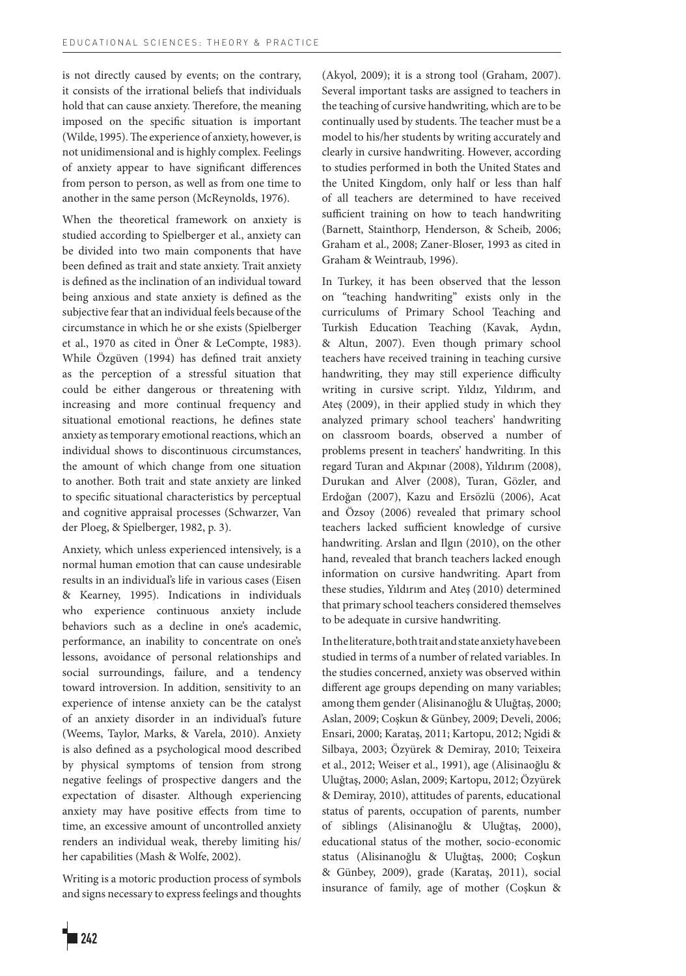is not directly caused by events; on the contrary, it consists of the irrational beliefs that individuals hold that can cause anxiety. Therefore, the meaning imposed on the specific situation is important (Wilde, 1995). The experience of anxiety, however, is not unidimensional and is highly complex. Feelings of anxiety appear to have significant differences from person to person, as well as from one time to another in the same person (McReynolds, 1976).

When the theoretical framework on anxiety is studied according to Spielberger et al., anxiety can be divided into two main components that have been defined as trait and state anxiety. Trait anxiety is defined as the inclination of an individual toward being anxious and state anxiety is defined as the subjective fear that an individual feels because of the circumstance in which he or she exists (Spielberger et al., 1970 as cited in Öner & LeCompte, 1983). While Özgüven (1994) has defined trait anxiety as the perception of a stressful situation that could be either dangerous or threatening with increasing and more continual frequency and situational emotional reactions, he defines state anxiety as temporary emotional reactions, which an individual shows to discontinuous circumstances, the amount of which change from one situation to another. Both trait and state anxiety are linked to specific situational characteristics by perceptual and cognitive appraisal processes (Schwarzer, Van der Ploeg, & Spielberger, 1982, p. 3).

Anxiety, which unless experienced intensively, is a normal human emotion that can cause undesirable results in an individual's life in various cases (Eisen & Kearney, 1995). Indications in individuals who experience continuous anxiety include behaviors such as a decline in one's academic, performance, an inability to concentrate on one's lessons, avoidance of personal relationships and social surroundings, failure, and a tendency toward introversion. In addition, sensitivity to an experience of intense anxiety can be the catalyst of an anxiety disorder in an individual's future (Weems, Taylor, Marks, & Varela, 2010). Anxiety is also defined as a psychological mood described by physical symptoms of tension from strong negative feelings of prospective dangers and the expectation of disaster. Although experiencing anxiety may have positive effects from time to time, an excessive amount of uncontrolled anxiety renders an individual weak, thereby limiting his/ her capabilities (Mash & Wolfe, 2002).

Writing is a motoric production process of symbols and signs necessary to express feelings and thoughts (Akyol, 2009); it is a strong tool (Graham, 2007). Several important tasks are assigned to teachers in the teaching of cursive handwriting, which are to be continually used by students. The teacher must be a model to his/her students by writing accurately and clearly in cursive handwriting. However, according to studies performed in both the United States and the United Kingdom, only half or less than half of all teachers are determined to have received sufficient training on how to teach handwriting (Barnett, Stainthorp, Henderson, & Scheib, 2006; Graham et al., 2008; Zaner-Bloser, 1993 as cited in Graham & Weintraub, 1996).

In Turkey, it has been observed that the lesson on "teaching handwriting" exists only in the curriculums of Primary School Teaching and Turkish Education Teaching (Kavak, Aydın, & Altun, 2007). Even though primary school teachers have received training in teaching cursive handwriting, they may still experience difficulty writing in cursive script. Yıldız, Yıldırım, and Ateş (2009), in their applied study in which they analyzed primary school teachers' handwriting on classroom boards, observed a number of problems present in teachers' handwriting. In this regard Turan and Akpınar (2008), Yıldırım (2008), Durukan and Alver (2008), Turan, Gözler, and Erdoğan (2007), Kazu and Ersözlü (2006), Acat and Özsoy (2006) revealed that primary school teachers lacked sufficient knowledge of cursive handwriting. Arslan and Ilgın (2010), on the other hand, revealed that branch teachers lacked enough information on cursive handwriting. Apart from these studies, Yıldırım and Ateş (2010) determined that primary school teachers considered themselves to be adequate in cursive handwriting.

In the literature, both trait and state anxiety have been studied in terms of a number of related variables. In the studies concerned, anxiety was observed within different age groups depending on many variables; among them gender (Alisinanoğlu & Uluğtaş, 2000; Aslan, 2009; Coşkun & Günbey, 2009; Develi, 2006; Ensari, 2000; Karataş, 2011; Kartopu, 2012; Ngidi & Silbaya, 2003; Özyürek & Demiray, 2010; Teixeira et al., 2012; Weiser et al., 1991), age (Alisinaoğlu & Uluğtaş, 2000; Aslan, 2009; Kartopu, 2012; Özyürek & Demiray, 2010), attitudes of parents, educational status of parents, occupation of parents, number of siblings (Alisinanoğlu & Uluğtaş, 2000), educational status of the mother, socio-economic status (Alisinanoğlu & Uluğtaş, 2000; Coşkun & Günbey, 2009), grade (Karataş, 2011), social insurance of family, age of mother (Coşkun &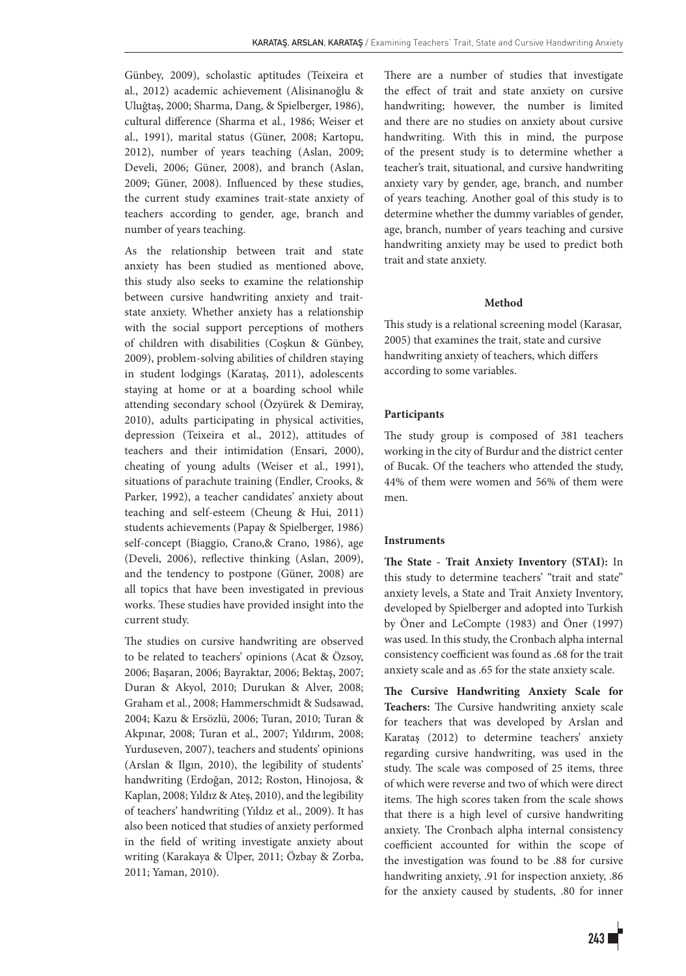Günbey, 2009), scholastic aptitudes (Teixeira et al., 2012) academic achievement (Alisinanoğlu & Uluğtaş, 2000; Sharma, Dang, & Spielberger, 1986), cultural difference (Sharma et al., 1986; Weiser et al., 1991), marital status (Güner, 2008; Kartopu, 2012), number of years teaching (Aslan, 2009; Develi, 2006; Güner, 2008), and branch (Aslan, 2009; Güner, 2008). Influenced by these studies, the current study examines trait-state anxiety of teachers according to gender, age, branch and number of years teaching.

As the relationship between trait and state anxiety has been studied as mentioned above, this study also seeks to examine the relationship between cursive handwriting anxiety and traitstate anxiety. Whether anxiety has a relationship with the social support perceptions of mothers of children with disabilities (Coşkun & Günbey, 2009), problem-solving abilities of children staying in student lodgings (Karataş, 2011), adolescents staying at home or at a boarding school while attending secondary school (Özyürek & Demiray, 2010), adults participating in physical activities, depression (Teixeira et al., 2012), attitudes of teachers and their intimidation (Ensari, 2000), cheating of young adults (Weiser et al., 1991), situations of parachute training (Endler, Crooks, & Parker, 1992), a teacher candidates' anxiety about teaching and self-esteem (Cheung & Hui, 2011) students achievements (Papay & Spielberger, 1986) self-concept (Biaggio, Crano, & Crano, 1986), age (Develi, 2006), reflective thinking (Aslan, 2009), and the tendency to postpone (Güner, 2008) are all topics that have been investigated in previous works. These studies have provided insight into the current study.

The studies on cursive handwriting are observed to be related to teachers' opinions (Acat & Özsoy, 2006; Başaran, 2006; Bayraktar, 2006; Bektaş, 2007; Duran & Akyol, 2010; Durukan & Alver, 2008; Graham et al., 2008; Hammerschmidt & Sudsawad, 2004; Kazu & Ersözlü, 2006; Turan, 2010; Turan & Akpınar, 2008; Turan et al., 2007; Yıldırım, 2008; Yurduseven, 2007), teachers and students' opinions (Arslan & Ilgın, 2010), the legibility of students' handwriting (Erdoğan, 2012; Roston, Hinojosa, & Kaplan, 2008; Yıldız & Ateş, 2010), and the legibility of teachers' handwriting (Yıldız et al., 2009). It has also been noticed that studies of anxiety performed in the field of writing investigate anxiety about writing (Karakaya & Ülper, 2011; Özbay & Zorba, 2011; Yaman, 2010).

There are a number of studies that investigate the effect of trait and state anxiety on cursive handwriting; however, the number is limited and there are no studies on anxiety about cursive handwriting. With this in mind, the purpose of the present study is to determine whether a teacher's trait, situational, and cursive handwriting anxiety vary by gender, age, branch, and number of years teaching. Another goal of this study is to determine whether the dummy variables of gender, age, branch, number of years teaching and cursive handwriting anxiety may be used to predict both trait and state anxiety.

### **Method**

This study is a relational screening model (Karasar, 2005) that examines the trait, state and cursive handwriting anxiety of teachers, which differs according to some variables.

#### **Participants**

The study group is composed of 381 teachers working in the city of Burdur and the district center of Bucak. Of the teachers who attended the study, 44% of them were women and 56% of them were men.

#### **Instruments**

**The State - Trait Anxiety Inventory (STAI):** In this study to determine teachers' "trait and state" anxiety levels, a State and Trait Anxiety Inventory, developed by Spielberger and adopted into Turkish by Öner and LeCompte (1983) and Öner (1997) was used. In this study, the Cronbach alpha internal consistency coefficient was found as .68 for the trait anxiety scale and as .65 for the state anxiety scale.

**The Cursive Handwriting Anxiety Scale for Teachers:** The Cursive handwriting anxiety scale for teachers that was developed by Arslan and Karataş (2012) to determine teachers' anxiety regarding cursive handwriting, was used in the study. The scale was composed of 25 items, three of which were reverse and two of which were direct items. The high scores taken from the scale shows that there is a high level of cursive handwriting anxiety. The Cronbach alpha internal consistency coefficient accounted for within the scope of the investigation was found to be .88 for cursive handwriting anxiety, .91 for inspection anxiety, .86 for the anxiety caused by students, .80 for inner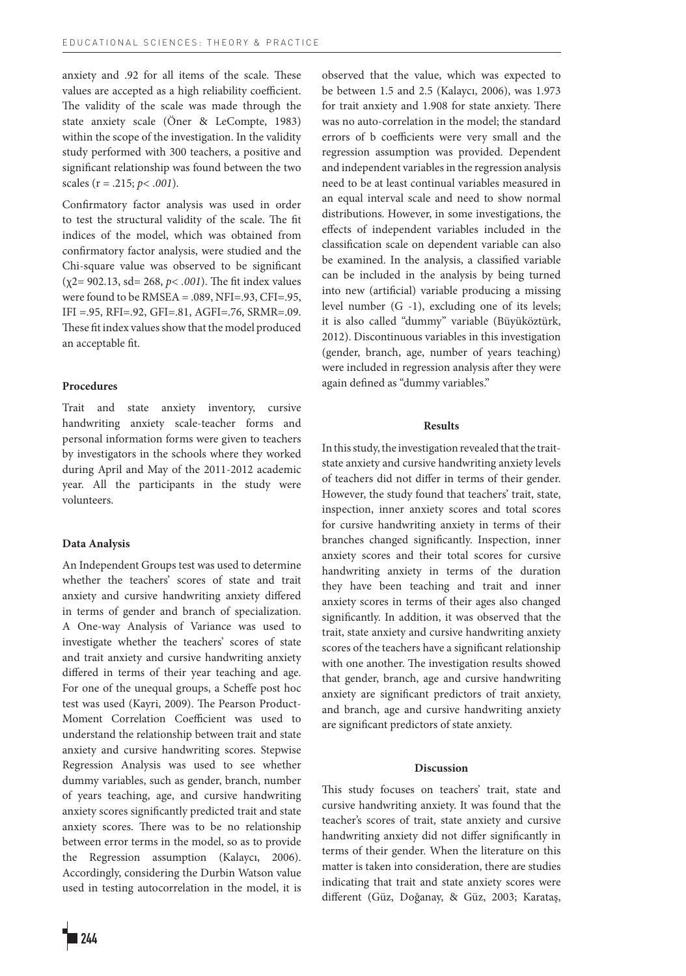anxiety and .92 for all items of the scale. These values are accepted as a high reliability coefficient. The validity of the scale was made through the state anxiety scale (Öner & LeCompte, 1983) within the scope of the investigation. In the validity study performed with 300 teachers, a positive and significant relationship was found between the two scales (r = .215; *p< .001*).

Confirmatory factor analysis was used in order to test the structural validity of the scale. The fit indices of the model, which was obtained from confirmatory factor analysis, were studied and the Chi-square value was observed to be significant (χ2= 902.13, sd= 268, *p< .001*). The fit index values were found to be RMSEA = .089, NFI=.93, CFI=.95,  $IFI = .95, RFI = .92, GFI = .81, AGFI = .76, SRMR = .09.$ These fit index values show that the model produced an acceptable fit.

#### **Procedures**

Trait and state anxiety inventory, cursive handwriting anxiety scale-teacher forms and personal information forms were given to teachers by investigators in the schools where they worked during April and May of the 2011-2012 academic year. All the participants in the study were volunteers.

#### **Data Analysis**

An Independent Groups test was used to determine whether the teachers' scores of state and trait anxiety and cursive handwriting anxiety differed in terms of gender and branch of specialization. A One-way Analysis of Variance was used to investigate whether the teachers' scores of state and trait anxiety and cursive handwriting anxiety differed in terms of their year teaching and age. For one of the unequal groups, a Scheffe post hoc test was used (Kayri, 2009). The Pearson Product-Moment Correlation Coefficient was used to understand the relationship between trait and state anxiety and cursive handwriting scores. Stepwise Regression Analysis was used to see whether dummy variables, such as gender, branch, number of years teaching, age, and cursive handwriting anxiety scores significantly predicted trait and state anxiety scores. There was to be no relationship between error terms in the model, so as to provide the Regression assumption (Kalaycı, 2006). Accordingly, considering the Durbin Watson value used in testing autocorrelation in the model, it is observed that the value, which was expected to be between 1.5 and 2.5 (Kalaycı, 2006), was 1.973 for trait anxiety and 1.908 for state anxiety. There was no auto-correlation in the model; the standard errors of b coefficients were very small and the regression assumption was provided. Dependent and independent variables in the regression analysis need to be at least continual variables measured in an equal interval scale and need to show normal distributions. However, in some investigations, the effects of independent variables included in the classification scale on dependent variable can also be examined. In the analysis, a classified variable can be included in the analysis by being turned into new (artificial) variable producing a missing level number (G -1), excluding one of its levels; it is also called "dummy" variable (Büyüköztürk, 2012). Discontinuous variables in this investigation (gender, branch, age, number of years teaching) were included in regression analysis after they were again defined as "dummy variables."

#### **Results**

In this study, the investigation revealed that the traitstate anxiety and cursive handwriting anxiety levels of teachers did not differ in terms of their gender. However, the study found that teachers' trait, state, inspection, inner anxiety scores and total scores for cursive handwriting anxiety in terms of their branches changed significantly. Inspection, inner anxiety scores and their total scores for cursive handwriting anxiety in terms of the duration they have been teaching and trait and inner anxiety scores in terms of their ages also changed significantly. In addition, it was observed that the trait, state anxiety and cursive handwriting anxiety scores of the teachers have a significant relationship with one another. The investigation results showed that gender, branch, age and cursive handwriting anxiety are significant predictors of trait anxiety, and branch, age and cursive handwriting anxiety are significant predictors of state anxiety.

#### **Discussion**

This study focuses on teachers' trait, state and cursive handwriting anxiety. It was found that the teacher's scores of trait, state anxiety and cursive handwriting anxiety did not differ significantly in terms of their gender. When the literature on this matter is taken into consideration, there are studies indicating that trait and state anxiety scores were different (Güz, Doğanay, & Güz, 2003; Karataş,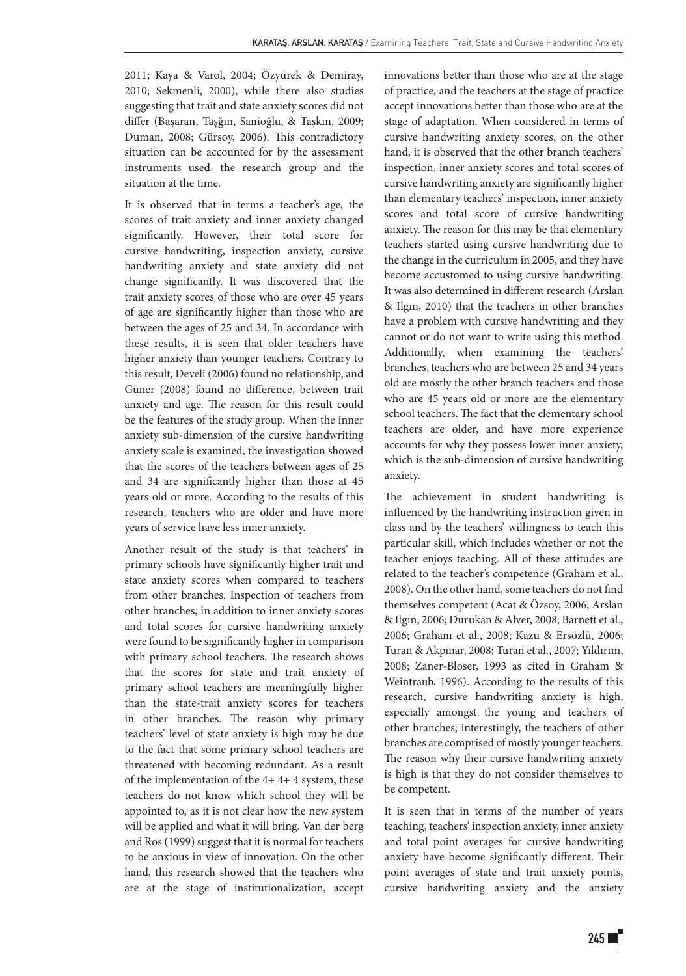2011; Kaya & Varol, 2004; Özyürek & Demiray, 2010; Sekmenli, 2000), while there also studies suggesting that trait and state anxiety scores did not differ (Başaran, Taşğın, Sanioğlu, & Taşkın, 2009; Duman, 2008; Gürsoy, 2006). This contradictory situation can be accounted for by the assessment instruments used, the research group and the situation at the time.

It is observed that in terms a teacher's age, the scores of trait anxiety and inner anxiety changed significantly. However, their total score for cursive handwriting, inspection anxiety, cursive handwriting anxiety and state anxiety did not change significantly. It was discovered that the trait anxiety scores of those who are over 45 years of age are significantly higher than those who are between the ages of 25 and 34. In accordance with these results, it is seen that older teachers have higher anxiety than younger teachers. Contrary to this result, Develi (2006) found no relationship, and Güner (2008) found no difference, between trait anxiety and age. The reason for this result could be the features of the study group. When the inner anxiety sub-dimension of the cursive handwriting anxiety scale is examined, the investigation showed that the scores of the teachers between ages of 25 and 34 are significantly higher than those at 45 years old or more. According to the results of this research, teachers who are older and have more years of service have less inner anxiety.

Another result of the study is that teachers' in primary schools have significantly higher trait and state anxiety scores when compared to teachers from other branches. Inspection of teachers from other branches, in addition to inner anxiety scores and total scores for cursive handwriting anxiety were found to be significantly higher in comparison with primary school teachers. The research shows that the scores for state and trait anxiety of primary school teachers are meaningfully higher than the state-trait anxiety scores for teachers in other branches. The reason why primary teachers' level of state anxiety is high may be due to the fact that some primary school teachers are threatened with becoming redundant. As a result of the implementation of the 4+ 4+ 4 system, these teachers do not know which school they will be appointed to, as it is not clear how the new system will be applied and what it will bring. Van der berg and Ros (1999) suggest that it is normal for teachers to be anxious in view of innovation. On the other hand, this research showed that the teachers who are at the stage of institutionalization, accept innovations better than those who are at the stage of practice, and the teachers at the stage of practice accept innovations better than those who are at the stage of adaptation. When considered in terms of cursive handwriting anxiety scores, on the other hand, it is observed that the other branch teachers' inspection, inner anxiety scores and total scores of cursive handwriting anxiety are significantly higher than elementary teachers' inspection, inner anxiety scores and total score of cursive handwriting anxiety. The reason for this may be that elementary teachers started using cursive handwriting due to the change in the curriculum in 2005, and they have become accustomed to using cursive handwriting. It was also determined in different research (Arslan & Ilgın, 2010) that the teachers in other branches have a problem with cursive handwriting and they cannot or do not want to write using this method. Additionally, when examining the teachers' branches, teachers who are between 25 and 34 years old are mostly the other branch teachers and those who are 45 years old or more are the elementary school teachers. The fact that the elementary school teachers are older, and have more experience accounts for why they possess lower inner anxiety, which is the sub-dimension of cursive handwriting anxiety.

The achievement in student handwriting is influenced by the handwriting instruction given in class and by the teachers' willingness to teach this particular skill, which includes whether or not the teacher enjoys teaching. All of these attitudes are related to the teacher's competence (Graham et al., 2008). On the other hand, some teachers do not find themselves competent (Acat & Özsoy, 2006; Arslan & Ilgın, 2006; Durukan & Alver, 2008; Barnett et al., 2006; Graham et al., 2008; Kazu & Ersözlü, 2006; Turan & Akpınar, 2008; Turan et al., 2007; Yıldırım, 2008; Zaner-Bloser, 1993 as cited in Graham & Weintraub, 1996). According to the results of this research, cursive handwriting anxiety is high, especially amongst the young and teachers of other branches; interestingly, the teachers of other branches are comprised of mostly younger teachers. The reason why their cursive handwriting anxiety is high is that they do not consider themselves to be competent.

It is seen that in terms of the number of years teaching, teachers' inspection anxiety, inner anxiety and total point averages for cursive handwriting anxiety have become significantly different. Their point averages of state and trait anxiety points, cursive handwriting anxiety and the anxiety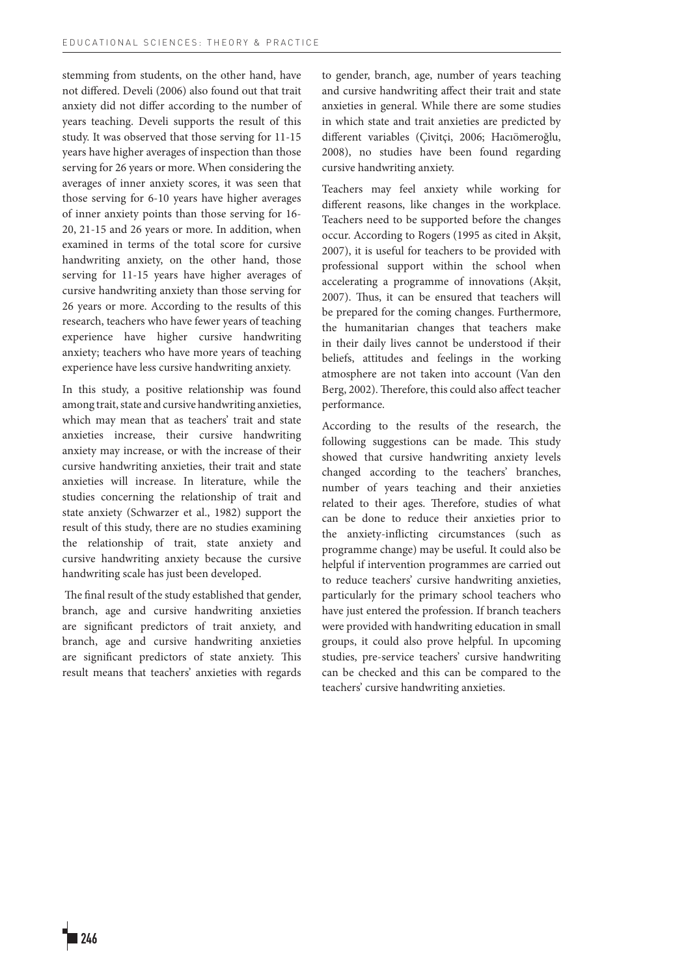stemming from students, on the other hand, have not differed. Develi (2006) also found out that trait anxiety did not differ according to the number of years teaching. Develi supports the result of this study. It was observed that those serving for 11-15 years have higher averages of inspection than those serving for 26 years or more. When considering the averages of inner anxiety scores, it was seen that those serving for 6-10 years have higher averages of inner anxiety points than those serving for 16- 20, 21-15 and 26 years or more. In addition, when examined in terms of the total score for cursive handwriting anxiety, on the other hand, those serving for 11-15 years have higher averages of cursive handwriting anxiety than those serving for 26 years or more. According to the results of this research, teachers who have fewer years of teaching experience have higher cursive handwriting anxiety; teachers who have more years of teaching experience have less cursive handwriting anxiety.

In this study, a positive relationship was found among trait, state and cursive handwriting anxieties, which may mean that as teachers' trait and state anxieties increase, their cursive handwriting anxiety may increase, or with the increase of their cursive handwriting anxieties, their trait and state anxieties will increase. In literature, while the studies concerning the relationship of trait and state anxiety (Schwarzer et al., 1982) support the result of this study, there are no studies examining the relationship of trait, state anxiety and cursive handwriting anxiety because the cursive handwriting scale has just been developed.

 The final result of the study established that gender, branch, age and cursive handwriting anxieties are significant predictors of trait anxiety, and branch, age and cursive handwriting anxieties are significant predictors of state anxiety. This result means that teachers' anxieties with regards

to gender, branch, age, number of years teaching and cursive handwriting affect their trait and state anxieties in general. While there are some studies in which state and trait anxieties are predicted by different variables (Çivitçi, 2006; Hacıömeroğlu, 2008), no studies have been found regarding cursive handwriting anxiety.

Teachers may feel anxiety while working for different reasons, like changes in the workplace. Teachers need to be supported before the changes occur. According to Rogers (1995 as cited in Akşit, 2007), it is useful for teachers to be provided with professional support within the school when accelerating a programme of innovations (Akşit, 2007). Thus, it can be ensured that teachers will be prepared for the coming changes. Furthermore, the humanitarian changes that teachers make in their daily lives cannot be understood if their beliefs, attitudes and feelings in the working atmosphere are not taken into account (Van den Berg, 2002). Therefore, this could also affect teacher performance.

According to the results of the research, the following suggestions can be made. This study showed that cursive handwriting anxiety levels changed according to the teachers' branches, number of years teaching and their anxieties related to their ages. Therefore, studies of what can be done to reduce their anxieties prior to the anxiety-inflicting circumstances (such as programme change) may be useful. It could also be helpful if intervention programmes are carried out to reduce teachers' cursive handwriting anxieties, particularly for the primary school teachers who have just entered the profession. If branch teachers were provided with handwriting education in small groups, it could also prove helpful. In upcoming studies, pre-service teachers' cursive handwriting can be checked and this can be compared to the teachers' cursive handwriting anxieties.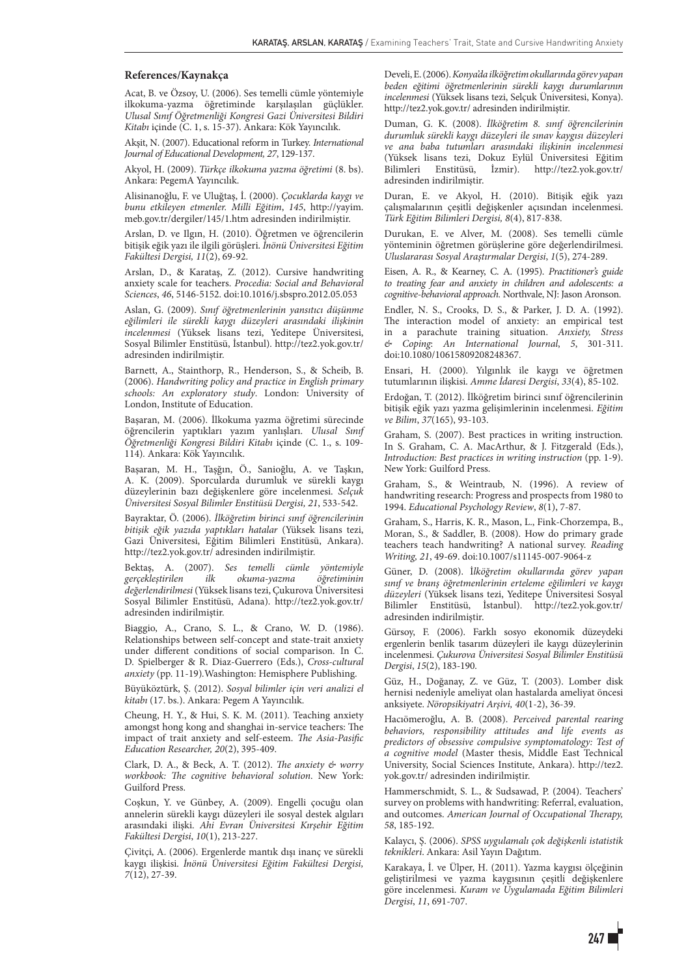#### **References/Kaynakça**

Acat, B. ve Özsoy, U. (2006). Ses temelli cümle yöntemiyle ilkokuma-yazma öğretiminde karşılaşılan güçlükler. *Ulusal Sınıf Öğretmenliği Kongresi Gazi Üniversitesi Bildiri Kitabı* içinde (C. 1, s. 15-37). Ankara: Kök Yayıncılık.

Akşit, N. (2007). Educational reform in Turkey. *International Journal of Educational Development, 27*, 129-137.

Akyol, H. (2009). *Türkçe ilkokuma yazma öğretimi* (8. bs). Ankara: PegemA Yayıncılık.

Alisinanoğlu, F. ve Uluğtaş, İ. (2000). *Çocuklarda kaygı ve bunu etkileyen etmenler. Milli Eğitim*, *145*, http://yayim. meb.gov.tr/dergiler/145/1.htm adresinden indirilmiştir.

Arslan, D. ve Ilgın, H. (2010). Öğretmen ve öğrencilerin bitişik eğik yazı ile ilgili görüşleri. *İnönü Üniversitesi Eğitim Fakültesi Dergisi, 11*(2), 69-92.

Arslan, D., & Karataş, Z. (2012). Cursive handwriting anxiety scale for teachers. *Procedia: Social and Behavioral Sciences*, *46*, 5146-5152. doi:10.1016/j.sbspro.2012.05.053

Aslan, G. (2009). *Sınıf öğretmenlerinin yansıtıcı düşünme eğilimleri ile sürekli kaygı düzeyleri arasındaki ilişkinin incelenmesi* (Yüksek lisans tezi, Yeditepe Üniversitesi, Sosyal Bilimler Enstitüsü, İstanbul). http://tez2.yok.gov.tr/ adresinden indirilmiştir.

Barnett, A., Stainthorp, R., Henderson, S., & Scheib, B. (2006). *Handwriting policy and practice in English primary schools: An exploratory study*. London: University of London, Institute of Education.

Başaran, M. (2006). İlkokuma yazma öğretimi sürecinde öğrencilerin yaptıkları yazım yanlışları. *Ulusal Sınıf Öğretmenliği Kongresi Bildiri Kitabı* içinde (C. 1., s. 109- 114)*.* Ankara: Kök Yayıncılık.

Başaran, M. H., Taşğın, Ö., Sanioğlu, A. ve Taşkın, A. K. (2009). Sporcularda durumluk ve sürekli kaygı düzeylerinin bazı değişkenlere göre incelenmesi. *Selçuk Üniversitesi Sosyal Bilimler Enstitüsü Dergisi, 21*, 533-542.

Bayraktar, Ö. (2006). *İlköğretim birinci sınıf öğrencilerinin bitişik eğik yazıda yaptıkları hatalar* (Yüksek lisans tezi, Gazi Üniversitesi, Eğitim Bilimleri Enstitüsü, Ankara). http://tez2.yok.gov.tr/ adresinden indirilmiştir.

Bektaş, A. (2007). *Ses temelli cümle yöntemiyle gerçekleştirilen ilk okuma-yazma öğretiminin değerlendirilmesi* (Yüksek lisans tezi, Çukurova Üniversitesi Sosyal Bilimler Enstitüsü, Adana). http://tez2.yok.gov.tr/ adresinden indirilmiştir.

Biaggio, A., Crano, S. L., & Crano, W. D. (1986). Relationships between self-concept and state-trait anxiety under different conditions of social comparison*.* In C. D. Spielberger & R. Diaz-Guerrero (Eds.), *Cross-cultural anxiety* (pp. 11-19)*.*Washington: Hemisphere Publishing.

Büyüköztürk, Ş. (2012). *Sosyal bilimler için veri analizi el kitabı* (17. bs.). Ankara: Pegem A Yayıncılık.

Cheung, H. Y., & Hui, S. K. M. (2011). Teaching anxiety amongst hong kong and shanghai in-service teachers: The impact of trait anxiety and self-esteem. *The Asia-Pasific Education Researcher, 20*(2), 395-409.

Clark, D. A., & Beck, A. T. (2012). *The anxiety & worry workbook: The cognitive behavioral solution*. New York: Guilford Press.

Coşkun, Y. ve Günbey, A. (2009). Engelli çocuğu olan annelerin sürekli kaygı düzeyleri ile sosyal destek algıları arasındaki ilişki. *Ahi Evran Üniversitesi Kırşehir Eğitim Fakültesi Dergisi*, *10*(1), 213-227.

Çivitçi, A. (2006). Ergenlerde mantık dışı inanç ve sürekli kaygı ilişkisi. *İnönü Üniversitesi Eğitim Fakültesi Dergisi, 7*(12), 27-39.

Develi, E. (2006). *Konya'da ilköğretim okullarında görev yapan beden eğitimi öğretmenlerinin sürekli kaygı durumlarının incelenmesi* (Yüksek lisans tezi, Selçuk Üniversitesi, Konya). http://tez2.yok.gov.tr/ adresinden indirilmiştir.

Duman, G. K. (2008). *İlköğretim 8. sınıf öğrencilerinin durumluk sürekli kaygı düzeyleri ile sınav kaygısı düzeyleri ve ana baba tutumları arasındaki ilişkinin incelenmesi* (Yüksek lisans tezi, Dokuz Eylül Üniversitesi Eğitim Bilimleri Enstitüsü, İzmir). http://tez2.yok.gov.tr/ adresinden indirilmiştir.

Duran, E. ve Akyol, H. (2010). Bitişik eğik yazı çalışmalarının çeşitli değişkenler açısından incelenmesi. *Türk Eğitim Bilimleri Dergisi, 8*(4), 817-838.

Durukan, E. ve Alver, M. (2008). Ses temelli cümle yönteminin öğretmen görüşlerine göre değerlendirilmesi. *Uluslararası Sosyal Araştırmalar Dergisi*, *1*(5), 274-289.

Eisen, A. R., & Kearney, C. A. (1995). *Practitioner's guide to treating fear and anxiety in children and adolescents: a cognitive-behavioral approach.* Northvale, NJ: Jason Aronson.

Endler, N. S., Crooks, D. S., & Parker, J. D. A. (1992). The interaction model of anxiety: an empirical test in a parachute training situation. *Anxiety, Stress & Coping*: *An International Journal*, *5*, 301-311. doi:10.1080/10615809208248367.

Ensari, H. (2000). Yılgınlık ile kaygı ve öğretmen tutumlarının ilişkisi. *Amme İdaresi Dergisi*, *33*(4), 85-102.

Erdoğan, T. (2012). İlköğretim birinci sınıf öğrencilerinin bitişik eğik yazı yazma gelişimlerinin incelenmesi. *Eğitim ve Bilim*, *37*(165), 93-103.

Graham, S. (2007). Best practices in writing instruction*.* In S. Graham, C. A. MacArthur, & J. Fitzgerald (Eds.), *Introduction: Best practices in writing instruction* (pp. 1-9). New York: Guilford Press.

Graham, S., & Weintraub, N. (1996). A review of handwriting research: Progress and prospects from 1980 to 1994. *Educational Psychology Review*, *8*(1), 7-87.

Graham, S., Harris, K. R., Mason, L., Fink-Chorzempa, B., Moran, S., & Saddler, B. (2008). How do primary grade teachers teach handwriting? A national survey. *Reading Writing, 21*, 49-69. doi:10.1007/s11145-007-9064-z

Güner, D. (2008). İ*lköğretim okullarında görev yapan sınıf ve branş öğretmenlerinin erteleme eğilimleri ve kaygı düzeyleri* (Yüksek lisans tezi, Yeditepe Üniversitesi Sosyal Bilimler Enstitüsü, İstanbul). http://tez2.yok.gov.tr/ adresinden indirilmiştir.

Gürsoy, F. (2006). Farklı sosyo ekonomik düzeydeki ergenlerin benlik tasarım düzeyleri ile kaygı düzeylerinin incelenmesi. *Çukurova Üniversitesi Sosyal Bilimler Enstitüsü Dergisi*, *15*(2), 183-190.

Güz, H., Doğanay, Z. ve Güz, T. (2003). Lomber disk hernisi nedeniyle ameliyat olan hastalarda ameliyat öncesi anksiyete. *Nöropsikiyatri Arşivi, 40*(1-2), 36-39.

Hacıömeroğlu, A. B. (2008). *Perceived parental rearing behaviors, responsibility attitudes and life events as predictors of obsessive compulsive symptomatology: Test of a cognitive model* (Master thesis, Middle East Technical University, Social Sciences Institute, Ankara). http://tez2. yok.gov.tr/ adresinden indirilmiştir.

Hammerschmidt, S. L., & Sudsawad, P. (2004). Teachers' survey on problems with handwriting: Referral, evaluation, and outcomes. *American Journal of Occupational Therapy, 58*, 185-192.

Kalaycı, Ş. (2006). *SPSS uygulamalı çok değişkenli istatistik teknikleri*. Ankara: Asil Yayın Dağıtım.

Karakaya, İ. ve Ülper, H. (2011). Yazma kaygısı ölçeğinin geliştirilmesi ve yazma kaygısının çeşitli değişkenlere göre incelenmesi. *Kuram ve Uygulamada Eğitim Bilimleri Dergisi*, *11*, 691-707.